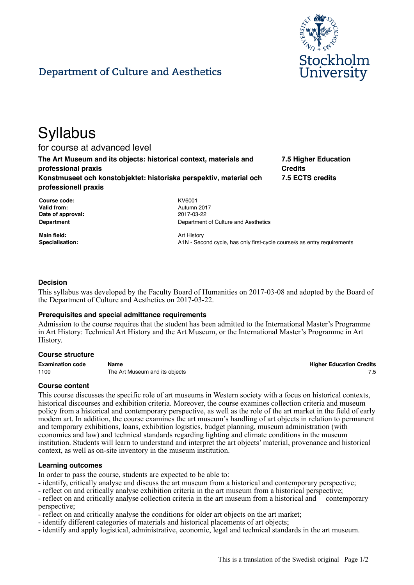

# Department of Culture and Aesthetics

# **Syllabus**

for course at advanced level

**The Art Museum and its objects: historical context, materials and professional praxis Konstmuseet och konstobjektet: historiska perspektiv, material och professionell praxis**

**7.5 Higher Education Credits 7.5 ECTS credits**

**Course code:** KV6001 **Valid from:** Autumn 2017 **Date of approval:** 2017-03-22

**Main field:** Art History

**Department Department** Department of Culture and Aesthetics

Specialisation: **Specialisation:** A1N - Second cycle, has only first-cycle course/s as entry requirements

# **Decision**

This syllabus was developed by the Faculty Board of Humanities on 2017-03-08 and adopted by the Board of the Department of Culture and Aesthetics on 2017-03-22.

#### **Prerequisites and special admittance requirements**

Admission to the course requires that the student has been admitted to the International Master's Programme in Art History: Technical Art History and the Art Museum, or the International Master's Programme in Art History.

#### **Course structure**

**Examination code Name Higher Education Credits** 1100 The Art Museum and its objects **1100** The Art Museum and its objects **7.5** 

# **Course content**

This course discusses the specific role of art museums in Western society with a focus on historical contexts, historical discourses and exhibition criteria. Moreover, the course examines collection criteria and museum policy from a historical and contemporary perspective, as well as the role of the art market in the field of early modern art. In addition, the course examines the art museum's handling of art objects in relation to permanent and temporary exhibitions, loans, exhibition logistics, budget planning, museum administration (with economics and law) and technical standards regarding lighting and climate conditions in the museum institution. Students will learn to understand and interpret the art objects' material, provenance and historical context, as well as on-site inventory in the museum institution.

#### **Learning outcomes**

In order to pass the course, students are expected to be able to:

- identify, critically analyse and discuss the art museum from a historical and contemporary perspective;

- reflect on and critically analyse exhibition criteria in the art museum from a historical perspective;

- reflect on and critically analyse collection criteria in the art museum from a historical and contemporary perspective;

- reflect on and critically analyse the conditions for older art objects on the art market;

- identify different categories of materials and historical placements of art objects;

- identify and apply logistical, administrative, economic, legal and technical standards in the art museum.